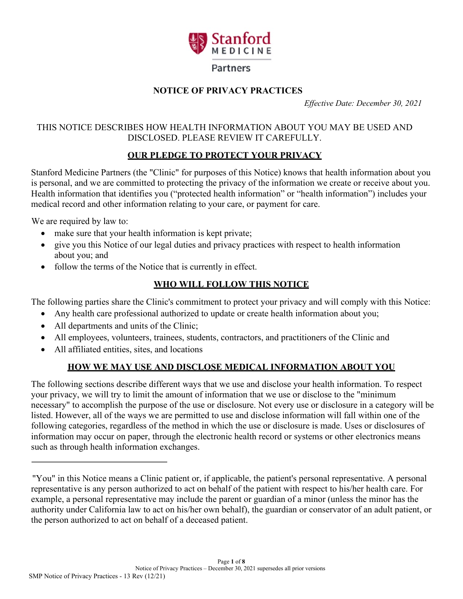

### **NOTICE OF PRIVACY PRACTICES**

*Effective Date: December 30, 2021* 

### THIS NOTICE DESCRIBES HOW HEALTH INFORMATION ABOUT YOU MAY BE USED AND DISCLOSED. PLEASE REVIEW IT CAREFULLY.

## **OUR PLEDGE TO PROTECT YOUR PRIVACY**

Stanford Medicine Partners (the "Clinic" for purposes of this Notice) knows that health information about you is personal, and we are committed to protecting the privacy of the information we create or receive about you. Health information that identifies you ("protected health information" or "health information") includes your medical record and other information relating to your care, or payment for care.

We are required by law to:

- make sure that your health information is kept private;
- give you this Notice of our legal duties and privacy practices with respect to health information about you; and
- follow the terms of the Notice that is currently in effect.

## **WHO WILL FOLLOW THIS NOTICE**

The following parties share the Clinic's commitment to protect your privacy and will comply with this Notice:

- Any health care professional authorized to update or create health information about you;
- All departments and units of the Clinic;
- All employees, volunteers, trainees, students, contractors, and practitioners of the Clinic and
- All affiliated entities, sites, and locations

# **HOW WE MAY USE AND DISCLOSE MEDICAL INFORMATION ABOUT YOU**

The following sections describe different ways that we use and disclose your health information. To respect your privacy, we will try to limit the amount of information that we use or disclose to the "minimum necessary" to accomplish the purpose of the use or disclosure. Not every use or disclosure in a category will be listed. However, all of the ways we are permitted to use and disclose information will fall within one of the following categories, regardless of the method in which the use or disclosure is made. Uses or disclosures of information may occur on paper, through the electronic health record or systems or other electronics means such as through health information exchanges.

<sup>&</sup>quot;You" in this Notice means a Clinic patient or, if applicable, the patient's personal representative. A personal representative is any person authorized to act on behalf of the patient with respect to his/her health care. For example, a personal representative may include the parent or guardian of a minor (unless the minor has the authority under California law to act on his/her own behalf), the guardian or conservator of an adult patient, or the person authorized to act on behalf of a deceased patient.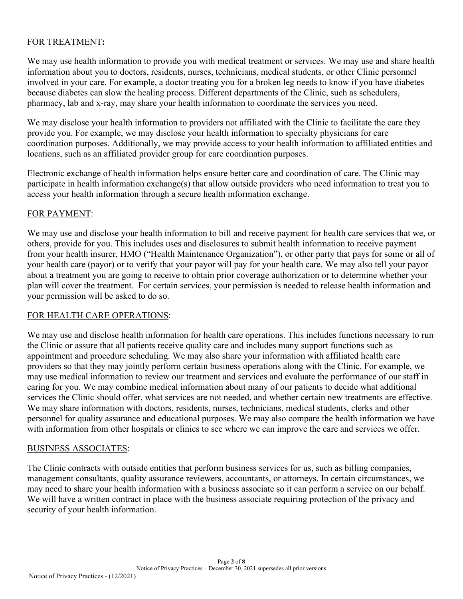## FOR TREATMENT**:**

We may use health information to provide you with medical treatment or services. We may use and share health information about you to doctors, residents, nurses, technicians, medical students, or other Clinic personnel involved in your care. For example, a doctor treating you for a broken leg needs to know if you have diabetes because diabetes can slow the healing process. Different departments of the Clinic, such as schedulers, pharmacy, lab and x-ray, may share your health information to coordinate the services you need.

We may disclose your health information to providers not affiliated with the Clinic to facilitate the care they provide you. For example, we may disclose your health information to specialty physicians for care coordination purposes. Additionally, we may provide access to your health information to affiliated entities and locations, such as an affiliated provider group for care coordination purposes.

Electronic exchange of health information helps ensure better care and coordination of care. The Clinic may participate in health information exchange(s) that allow outside providers who need information to treat you to access your health information through a secure health information exchange.

#### FOR PAYMENT:

We may use and disclose your health information to bill and receive payment for health care services that we, or others, provide for you. This includes uses and disclosures to submit health information to receive payment from your health insurer, HMO ("Health Maintenance Organization"), or other party that pays for some or all of your health care (payor) or to verify that your payor will pay for your health care. We may also tell your payor about a treatment you are going to receive to obtain prior coverage authorization or to determine whether your plan will cover the treatment. For certain services, your permission is needed to release health information and your permission will be asked to do so.

#### FOR HEALTH CARE OPERATIONS:

We may use and disclose health information for health care operations. This includes functions necessary to run the Clinic or assure that all patients receive quality care and includes many support functions such as appointment and procedure scheduling. We may also share your information with affiliated health care providers so that they may jointly perform certain business operations along with the Clinic. For example, we may use medical information to review our treatment and services and evaluate the performance of our staff in caring for you. We may combine medical information about many of our patients to decide what additional services the Clinic should offer, what services are not needed, and whether certain new treatments are effective. We may share information with doctors, residents, nurses, technicians, medical students, clerks and other personnel for quality assurance and educational purposes. We may also compare the health information we have with information from other hospitals or clinics to see where we can improve the care and services we offer.

#### BUSINESS ASSOCIATES:

The Clinic contracts with outside entities that perform business services for us, such as billing companies, management consultants, quality assurance reviewers, accountants, or attorneys. In certain circumstances, we may need to share your health information with a business associate so it can perform a service on our behalf. We will have a written contract in place with the business associate requiring protection of the privacy and security of your health information.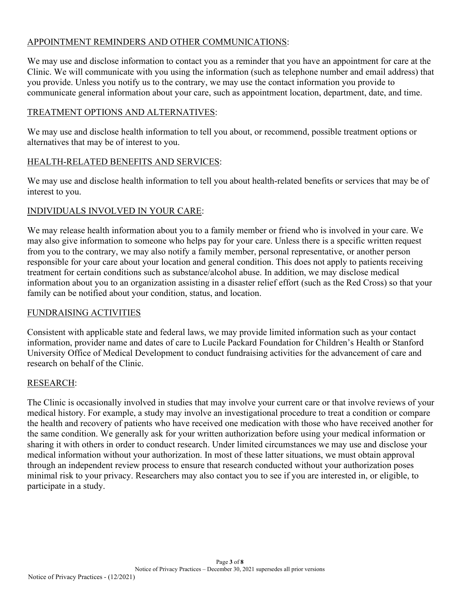### APPOINTMENT REMINDERS AND OTHER COMMUNICATIONS:

We may use and disclose information to contact you as a reminder that you have an appointment for care at the Clinic. We will communicate with you using the information (such as telephone number and email address) that you provide. Unless you notify us to the contrary, we may use the contact information you provide to communicate general information about your care, such as appointment location, department, date, and time.

### TREATMENT OPTIONS AND ALTERNATIVES:

We may use and disclose health information to tell you about, or recommend, possible treatment options or alternatives that may be of interest to you.

### HEALTH-RELATED BENEFITS AND SERVICES:

We may use and disclose health information to tell you about health-related benefits or services that may be of interest to you.

### INDIVIDUALS INVOLVED IN YOUR CARE:

We may release health information about you to a family member or friend who is involved in your care. We may also give information to someone who helps pay for your care. Unless there is a specific written request from you to the contrary, we may also notify a family member, personal representative, or another person responsible for your care about your location and general condition. This does not apply to patients receiving treatment for certain conditions such as substance/alcohol abuse. In addition, we may disclose medical information about you to an organization assisting in a disaster relief effort (such as the Red Cross) so that your family can be notified about your condition, status, and location.

### FUNDRAISING ACTIVITIES

Consistent with applicable state and federal laws, we may provide limited information such as your contact information, provider name and dates of care to Lucile Packard Foundation for Children's Health or Stanford University Office of Medical Development to conduct fundraising activities for the advancement of care and research on behalf of the Clinic.

### RESEARCH:

The Clinic is occasionally involved in studies that may involve your current care or that involve reviews of your medical history. For example, a study may involve an investigational procedure to treat a condition or compare the health and recovery of patients who have received one medication with those who have received another for the same condition. We generally ask for your written authorization before using your medical information or sharing it with others in order to conduct research. Under limited circumstances we may use and disclose your medical information without your authorization. In most of these latter situations, we must obtain approval through an independent review process to ensure that research conducted without your authorization poses minimal risk to your privacy. Researchers may also contact you to see if you are interested in, or eligible, to participate in a study.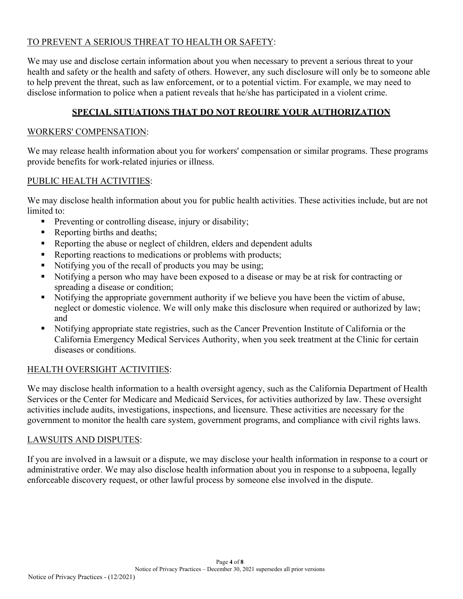## TO PREVENT A SERIOUS THREAT TO HEALTH OR SAFETY:

We may use and disclose certain information about you when necessary to prevent a serious threat to your health and safety or the health and safety of others. However, any such disclosure will only be to someone able to help prevent the threat, such as law enforcement, or to a potential victim. For example, we may need to disclose information to police when a patient reveals that he/she has participated in a violent crime.

## **SPECIAL SITUATIONS THAT DO NOT REQUIRE YOUR AUTHORIZATION**

### WORKERS' COMPENSATION:

We may release health information about you for workers' compensation or similar programs. These programs provide benefits for work-related injuries or illness.

## PUBLIC HEALTH ACTIVITIES:

We may disclose health information about you for public health activities. These activities include, but are not limited to:

- **Preventing or controlling disease, injury or disability;**
- Reporting births and deaths;
- Reporting the abuse or neglect of children, elders and dependent adults
- Reporting reactions to medications or problems with products;
- Notifying you of the recall of products you may be using;
- Notifying a person who may have been exposed to a disease or may be at risk for contracting or spreading a disease or condition;
- Notifying the appropriate government authority if we believe you have been the victim of abuse, neglect or domestic violence. We will only make this disclosure when required or authorized by law; and
- Notifying appropriate state registries, such as the Cancer Prevention Institute of California or the California Emergency Medical Services Authority, when you seek treatment at the Clinic for certain diseases or conditions.

## HEALTH OVERSIGHT ACTIVITIES:

We may disclose health information to a health oversight agency, such as the California Department of Health Services or the Center for Medicare and Medicaid Services, for activities authorized by law. These oversight activities include audits, investigations, inspections, and licensure. These activities are necessary for the government to monitor the health care system, government programs, and compliance with civil rights laws.

### LAWSUITS AND DISPUTES:

If you are involved in a lawsuit or a dispute, we may disclose your health information in response to a court or administrative order. We may also disclose health information about you in response to a subpoena, legally enforceable discovery request, or other lawful process by someone else involved in the dispute.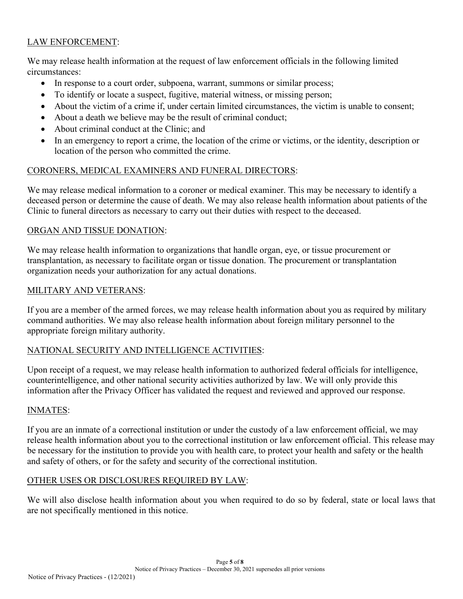## LAW ENFORCEMENT:

We may release health information at the request of law enforcement officials in the following limited circumstances:

- In response to a court order, subpoena, warrant, summons or similar process;
- To identify or locate a suspect, fugitive, material witness, or missing person;
- About the victim of a crime if, under certain limited circumstances, the victim is unable to consent;
- About a death we believe may be the result of criminal conduct:
- About criminal conduct at the Clinic; and
- In an emergency to report a crime, the location of the crime or victims, or the identity, description or location of the person who committed the crime.

### CORONERS, MEDICAL EXAMINERS AND FUNERAL DIRECTORS:

We may release medical information to a coroner or medical examiner. This may be necessary to identify a deceased person or determine the cause of death. We may also release health information about patients of the Clinic to funeral directors as necessary to carry out their duties with respect to the deceased.

#### ORGAN AND TISSUE DONATION:

We may release health information to organizations that handle organ, eye, or tissue procurement or transplantation, as necessary to facilitate organ or tissue donation. The procurement or transplantation organization needs your authorization for any actual donations.

#### MILITARY AND VETERANS:

If you are a member of the armed forces, we may release health information about you as required by military command authorities. We may also release health information about foreign military personnel to the appropriate foreign military authority.

### NATIONAL SECURITY AND INTELLIGENCE ACTIVITIES:

Upon receipt of a request, we may release health information to authorized federal officials for intelligence, counterintelligence, and other national security activities authorized by law. We will only provide this information after the Privacy Officer has validated the request and reviewed and approved our response.

#### INMATES:

If you are an inmate of a correctional institution or under the custody of a law enforcement official, we may release health information about you to the correctional institution or law enforcement official. This release may be necessary for the institution to provide you with health care, to protect your health and safety or the health and safety of others, or for the safety and security of the correctional institution.

### OTHER USES OR DISCLOSURES REQUIRED BY LAW:

We will also disclose health information about you when required to do so by federal, state or local laws that are not specifically mentioned in this notice.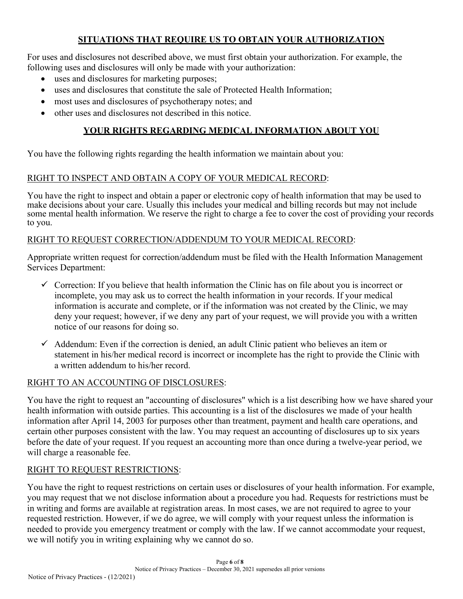## **SITUATIONS THAT REQUIRE US TO OBTAIN YOUR AUTHORIZATION**

For uses and disclosures not described above, we must first obtain your authorization. For example, the following uses and disclosures will only be made with your authorization:

- uses and disclosures for marketing purposes;
- uses and disclosures that constitute the sale of Protected Health Information;
- most uses and disclosures of psychotherapy notes; and
- other uses and disclosures not described in this notice.

# **YOUR RIGHTS REGARDING MEDICAL INFORMATION ABOUT YOU**

You have the following rights regarding the health information we maintain about you:

## RIGHT TO INSPECT AND OBTAIN A COPY OF YOUR MEDICAL RECORD:

You have the right to inspect and obtain a paper or electronic copy of health information that may be used to make decisions about your care. Usually this includes your medical and billing records but may not include some mental health information. We reserve the right to charge a fee to cover the cost of providing your records to you.

## RIGHT TO REQUEST CORRECTION/ADDENDUM TO YOUR MEDICAL RECORD:

Appropriate written request for correction/addendum must be filed with the Health Information Management Services Department:

- $\checkmark$  Correction: If you believe that health information the Clinic has on file about you is incorrect or incomplete, you may ask us to correct the health information in your records. If your medical information is accurate and complete, or if the information was not created by the Clinic, we may deny your request; however, if we deny any part of your request, we will provide you with a written notice of our reasons for doing so.
- $\checkmark$  Addendum: Even if the correction is denied, an adult Clinic patient who believes an item or statement in his/her medical record is incorrect or incomplete has the right to provide the Clinic with a written addendum to his/her record.

## RIGHT TO AN ACCOUNTING OF DISCLOSURES:

You have the right to request an "accounting of disclosures" which is a list describing how we have shared your health information with outside parties. This accounting is a list of the disclosures we made of your health information after April 14, 2003 for purposes other than treatment, payment and health care operations, and certain other purposes consistent with the law. You may request an accounting of disclosures up to six years before the date of your request. If you request an accounting more than once during a twelve-year period, we will charge a reasonable fee.

# RIGHT TO REQUEST RESTRICTIONS:

You have the right to request restrictions on certain uses or disclosures of your health information. For example, you may request that we not disclose information about a procedure you had. Requests for restrictions must be in writing and forms are available at registration areas. In most cases, we are not required to agree to your requested restriction. However, if we do agree, we will comply with your request unless the information is needed to provide you emergency treatment or comply with the law. If we cannot accommodate your request, we will notify you in writing explaining why we cannot do so.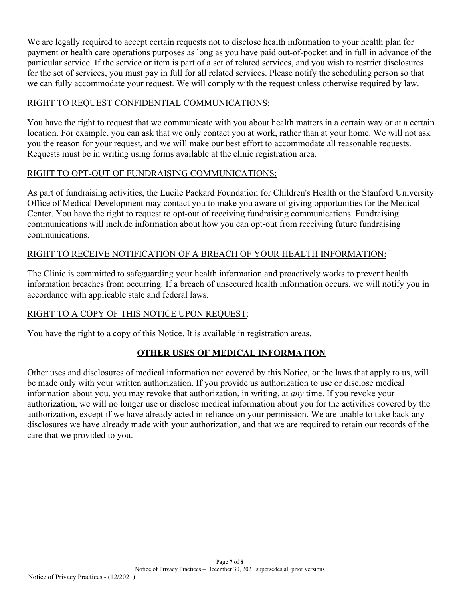We are legally required to accept certain requests not to disclose health information to your health plan for payment or health care operations purposes as long as you have paid out-of-pocket and in full in advance of the particular service. If the service or item is part of a set of related services, and you wish to restrict disclosures for the set of services, you must pay in full for all related services. Please notify the scheduling person so that we can fully accommodate your request. We will comply with the request unless otherwise required by law.

### RIGHT TO REQUEST CONFIDENTIAL COMMUNICATIONS:

You have the right to request that we communicate with you about health matters in a certain way or at a certain location. For example, you can ask that we only contact you at work, rather than at your home. We will not ask you the reason for your request, and we will make our best effort to accommodate all reasonable requests. Requests must be in writing using forms available at the clinic registration area.

#### RIGHT TO OPT-OUT OF FUNDRAISING COMMUNICATIONS:

As part of fundraising activities, the Lucile Packard Foundation for Children's Health or the Stanford University Office of Medical Development may contact you to make you aware of giving opportunities for the Medical Center. You have the right to request to opt-out of receiving fundraising communications. Fundraising communications will include information about how you can opt-out from receiving future fundraising communications.

### RIGHT TO RECEIVE NOTIFICATION OF A BREACH OF YOUR HEALTH INFORMATION:

The Clinic is committed to safeguarding your health information and proactively works to prevent health information breaches from occurring. If a breach of unsecured health information occurs, we will notify you in accordance with applicable state and federal laws.

## RIGHT TO A COPY OF THIS NOTICE UPON REQUEST:

You have the right to a copy of this Notice. It is available in registration areas.

## **OTHER USES OF MEDICAL INFORMATION**

Other uses and disclosures of medical information not covered by this Notice, or the laws that apply to us, will be made only with your written authorization. If you provide us authorization to use or disclose medical information about you, you may revoke that authorization, in writing, at *any* time. If you revoke your authorization, we will no longer use or disclose medical information about you for the activities covered by the authorization, except if we have already acted in reliance on your permission. We are unable to take back any disclosures we have already made with your authorization, and that we are required to retain our records of the care that we provided to you.